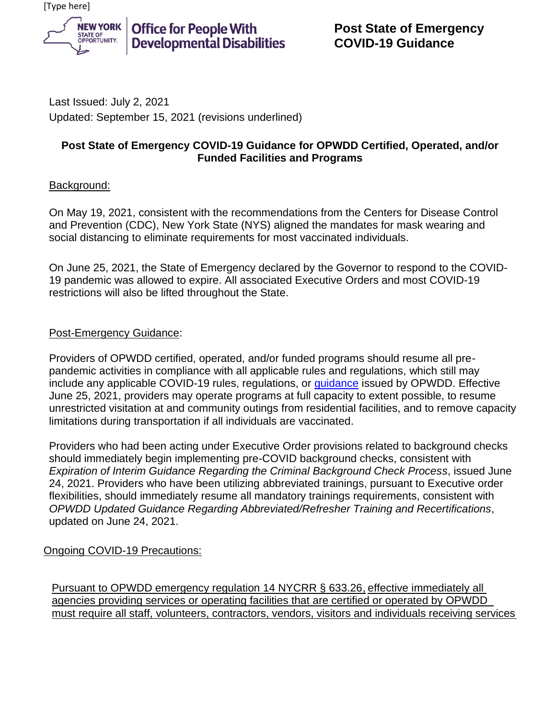

**Office for People With Developmental Disabilities** 

Last Issued: July 2, 2021 Updated: September 15, 2021 (revisions underlined)

### **Post State of Emergency COVID-19 Guidance for OPWDD Certified, Operated, and/or Funded Facilities and Programs**

# Background:

On May 19, 2021, consistent with the recommendations from the Centers for Disease Control and Prevention (CDC), New York State (NYS) aligned the mandates for mask wearing and social distancing to eliminate requirements for most vaccinated individuals.

On June 25, 2021, the State of Emergency declared by the Governor to respond to the COVID-19 pandemic was allowed to expire. All associated Executive Orders and most COVID-19 restrictions will also be lifted throughout the State.

# Post-Emergency Guidance:

Providers of OPWDD certified, operated, and/or funded programs should resume all prepandemic activities in compliance with all applicable rules and regulations, which still may include any applicable COVID-19 rules, regulations, or [guidance](https://opwdd.ny.gov/coronavirus-guidance/covid-19-guidance-documents) issued by OPWDD. Effective June 25, 2021, providers may operate programs at full capacity to extent possible, to resume unrestricted visitation at and community outings from residential facilities, and to remove capacity limitations during transportation if all individuals are vaccinated.

Providers who had been acting under Executive Order provisions related to background checks should immediately begin implementing pre-COVID background checks, consistent with *Expiration of Interim Guidance Regarding the Criminal Background Check Process*, issued June 24, 2021. Providers who have been utilizing abbreviated trainings, pursuant to Executive order flexibilities, should immediately resume all mandatory trainings requirements, consistent with *OPWDD Updated Guidance Regarding Abbreviated/Refresher Training and Recertifications*, updated on June 24, 2021.

# Ongoing COVID-19 Precautions:

Pursuant to OPWDD emergency regulation 14 NYCRR § 633.26, effective immediately all agencies providing services or operating facilities that are certified or operated by OPWDD must require all staff, volunteers, contractors, vendors, visitors and individuals receiving services